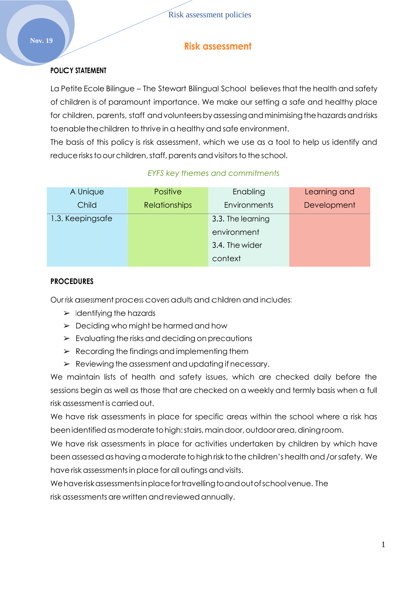# **Nov. 19 Risk assessment**

## **POLICY STATEMENT**

La Petite Ecole Bilingue – The Stewart Bilingual School believes that the health and safety of children is of paramount importance. We make our setting a safe and healthy place for children, parents, staff and volunteers by assessing and minimising the hazards and risks toenablethechildren to thrive in a healthy and safe environment.

The basis of this policy is risk assessment, which we use as a tool to help us identify and reduce risks to our children, staff, parents and visitors to the school.

| A Unique         | <b>Positive</b>      | Enabling          | Learning and |
|------------------|----------------------|-------------------|--------------|
| Child            | <b>Relationships</b> | Environments      | Development  |
| 1.3. Keepingsafe |                      | 3.3. The learning |              |
|                  |                      | environment       |              |
|                  |                      | 3.4. The wider    |              |

## *EYFS key themes and commitments*

context

## **PROCEDURES**

Our risk assessment process covers adults and children and includes:

- $\triangleright$  Identifying the hazards
- $\geq$  Deciding who might be harmed and how
- $\triangleright$  Evaluating the risks and deciding on precautions
- $\triangleright$  Recording the findings and implementing them
- $\triangleright$  Reviewing the assessment and updating if necessary.

We maintain lists of health and safety issues, which are checked daily before the sessions begin as well as those that are checked on a weekly and termly basis when a full risk assessmentis carried out.

We have risk assessments in place for specific areas within the school where a risk has beenidentifiedasmoderatetohigh:stairs,maindoor,outdoorarea,diningroom.

We have risk assessments in place for activities undertaken by children by which have been assessed as having a moderate to high risk to the children's health and /or safety. We have risk assessments in place for all outings and visits.

Wehaveriskassessmentsinplacefortravellingtoandoutofschoolvenue. The risk assessments are written and reviewed annually.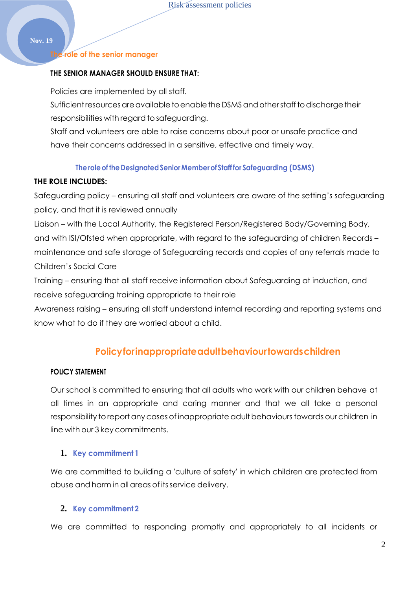#### **The role of the senior manager**

#### **THE SENIOR MANAGER SHOULD ENSURE THAT:**

Policies are implemented by all staff.

Sufficient resources are available to enable the DSMS and other staff to discharge their responsibilities with regard to safeguarding.

Staff and volunteers are able to raise concerns about poor or unsafe practice and have their concerns addressed in a sensitive, effective and timely way.

#### **The role of the Designated Senior Member of Staff for Safeguarding (DSMS)**

#### **THE ROLE INCLUDES:**

Safeguarding policy – ensuring all staff and volunteers are aware of the setting's safeguarding policy, and that it is reviewed annually

Liaison – with the Local Authority, the Registered Person/Registered Body/Governing Body, and with ISI/Ofsted when appropriate, with regard to the safeguarding of children Records – maintenance and safe storage of Safeguarding records and copies of any referrals made to Children's Social Care

Training – ensuring that all staff receive information about Safeguarding at induction, and receive safeguarding training appropriate to their role

Awareness raising – ensuring all staff understand internal recording and reporting systems and know what to do if they are worried about a child.

## **Policyforinappropriateadultbehaviourtowardschildren**

## **POLICY STATEMENT**

Our school is committed to ensuring that all adults who work with our children behave at all times in an appropriate and caring manner and that we all take a personal responsibility to report any cases of inappropriate adult behaviours towards our children in line with our 3 key commitments.

## **1. Key commitment 1**

We are committed to building a 'culture of safety' in which children are protected from abuse and harm in all areas of itsservice delivery.

## **2. Key commitment 2**

We are committed to responding promptly and appropriately to all incidents or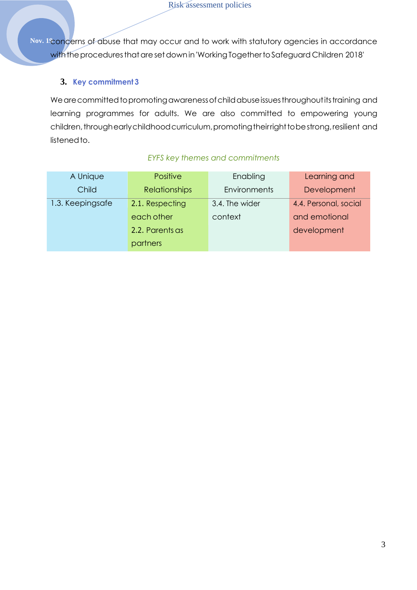Nov. 1<sup>2</sup>concerns of abuse that may occur and to work with statutory agencies in accordance with the procedures that are set down in 'Working Together to Safeguard Children 2018'

## **3. Key commitment 3**

We are committed to promoting awareness of child abuse issues throughout its training and learning programmes for adults. We are also committed to empowering young children, throughearly childhood curriculum, promoting their right to be strong, resilient and listenedto.

| A Unique         | Positive             | Enabling       | Learning and          |
|------------------|----------------------|----------------|-----------------------|
| Child            | <b>Relationships</b> | Environments   | Development           |
| 1.3. Keepingsafe | 2.1. Respecting      | 3.4. The wider | 4.4. Personal, social |
|                  | each other           | context        | and emotional         |
|                  | 2.2. Parents as      |                | development           |
|                  | partners             |                |                       |

## *EYFS key themes and commitments*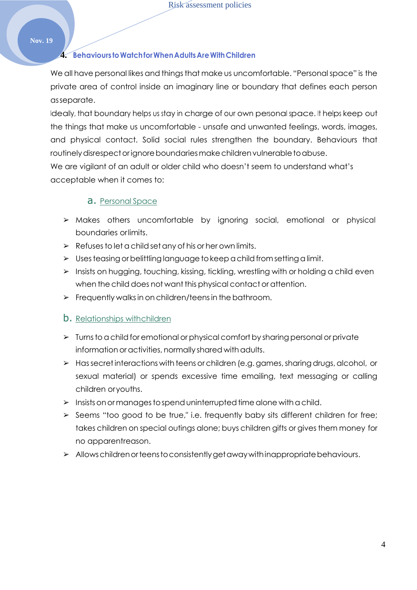## **4. Behaviours toWatchforWhenAdultsAreWithChildren**

We all have personal likes and things that make us uncomfortable. "Personal space" is the private area of control inside an imaginary line or boundary that defines each person asseparate.

Ideally, that boundary helps us stay in charge of our own personal space. It helps keep out the things that make us uncomfortable - unsafe and unwanted feelings, words, images, and physical contact. Solid social rules strengthen the boundary. Behaviours that routinely disrespect orignore boundaries make children vulnerable to abuse.

We are vigilant of an adult or older child who doesn't seem to understand what's acceptable when it comes to:

## a. Personal Space

- ➢ Makes others uncomfortable by ignoring social, emotional or physical boundaries orlimits.
- $\triangleright$  Refuses to let a child set any of his or her own limits.
- $\triangleright$  Uses teasing or belittling language to keep a child from setting a limit.
- ➢ Insists on hugging, touching, kissing, tickling, wrestling with or holding a child even when the child does not want this physical contact or attention.
- $\triangleright$  Frequently walks in on children/teens in the bathroom.

## **b.** Relationships withchildren

- $\triangleright$  Turns to a child for emotional or physical comfort by sharing personal or private information or activities, normally shared with adults.
- ➢ Hassecretinteractions with teens orchildren (e.g.games,sharingdrugs,alcohol, or sexual material) or spends excessive time emailing, text messaging or calling children oryouths.
- $>$  Insists on or manages to spend uninterrupted time alone with a child.
- $\triangleright$  Seems "too good to be true," i.e. frequently baby sits different children for free; takes children on special outings alone; buys children gifts or gives them money for no apparentreason.
- $\triangleright$  Allows children or teens to consistently get away with inappropriate behaviours.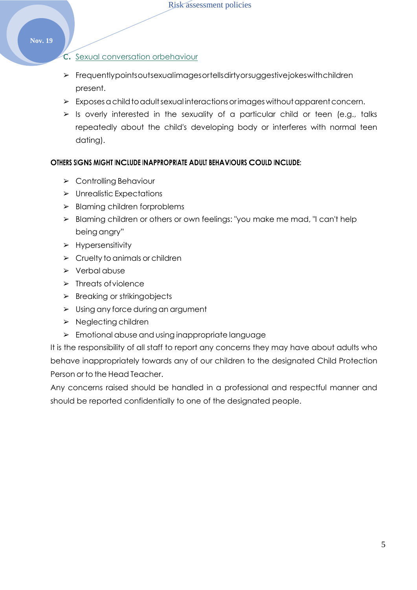## C. Sexual conversation orbehaviour

- ➢ Frequentlypointsoutsexualimagesortellsdirtyorsuggestivejokeswithchildren present.
- $\triangleright$  Exposes a child to adult sexual interactions or images without apparent concern.
- $\triangleright$  Is overly interested in the sexuality of a particular child or teen (e.g., talks repeatedly about the child's developing body or interferes with normal teen dating).

## **OTHERS SIGNS MIGHT INCLUDE INAPPROPRIATE ADULT BEHAVIOURS COULD INCLUDE:**

- ➢ Controlling Behaviour
- ➢ Unrealistic Expectations
- ➢ Blaming children forproblems
- ➢ Blaming children or others or own feelings: "you make me mad, "I can't help being angry"
- ➢ Hypersensitivity
- $\triangleright$  Cruelty to animals or children
- ➢ Verbal abuse
- ➢ Threats ofviolence
- $\triangleright$  Breaking or striking objects
- ➢ Using any force during an argument
- ➢ Neglecting children
- ➢ Emotional abuse and using inappropriate language

It is the responsibility of all staff to report any concerns they may have about adults who behave inappropriately towards any of our children to the designated Child Protection Person or to the Head Teacher.

Any concerns raised should be handled in a professional and respectful manner and should be reported confidentially to one of the designated people.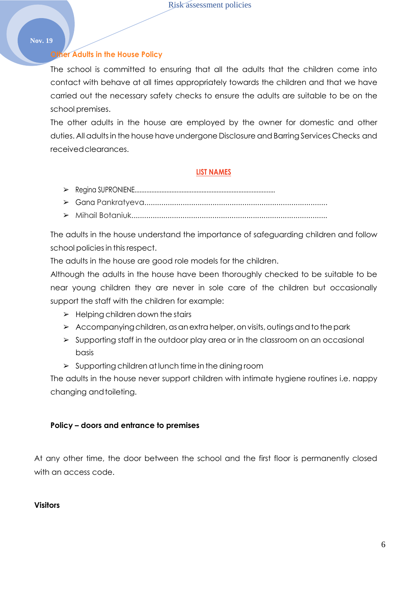## **Other Adults in the House Policy**

The school is committed to ensuring that all the adults that the children come into contact with behave at all times appropriately towards the children and that we have carried out the necessary safety checks to ensure the adults are suitable to be on the school premises.

The other adults in the house are employed by the owner for domestic and other duties. All adults in the house have undergone Disclosure and Barring Services Checks and receivedclearances.

#### **LIST NAMES**

- ➢ Regina SUPRONIENE....................................................................................
- ➢ Gana Pankratyeva......................................................................................
- ➢ Mihail Botaniuk............................................................................................

The adults in the house understand the importance of safeguarding children and follow school policies in this respect.

The adults in the house are good role models for the children.

Although the adults in the house have been thoroughly checked to be suitable to be near young children they are never in sole care of the children but occasionally support the staff with the children for example:

- $\blacktriangleright$  Helping children down the stairs
- $\triangleright$  Accompanying children, as an extra helper, on visits, outings and to the park
- ➢ Supporting staff in the outdoor play area or in the classroom on an occasional basis
- $\triangleright$  Supporting children at lunch time in the dining room

The adults in the house never support children with intimate hygiene routines i.e. nappy changing andtoileting.

#### **Policy – doors and entrance to premises**

At any other time, the door between the school and the first floor is permanently closed with an access code.

#### **Visitors**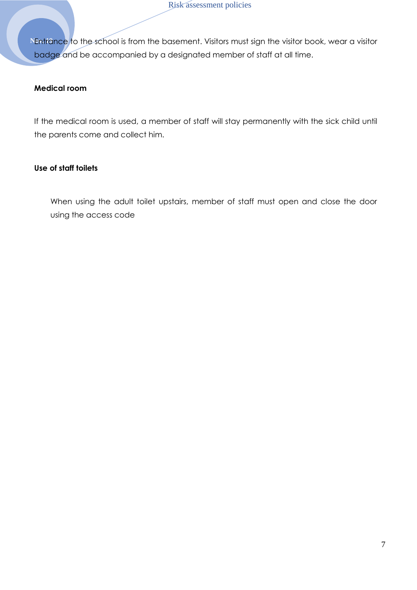Nentrance to the school is from the basement. Visitors must sign the visitor book, wear a visitor badge and be accompanied by a designated member of staff at all time.

## **Medical room**

If the medical room is used, a member of staff will stay permanently with the sick child until the parents come and collect him.

## **Use of staff toilets**

When using the adult toilet upstairs, member of staff must open and close the door using the access code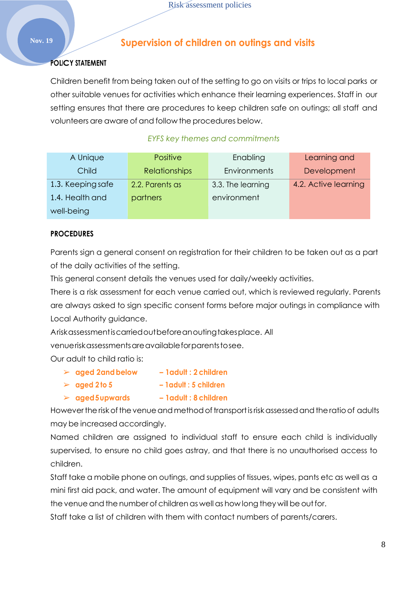## **Nov. 19 Supervision of children on outings and visits**

## **POLICY STATEMENT**

Children benefit from being taken out of the setting to go on visits or trips to local parks or other suitable venues for activities which enhance their learning experiences. Staff in our setting ensures that there are procedures to keep children safe on outings; all staff and volunteers are aware of and follow the procedures below.

## *EYFS key themes and commitments*

| A Unique          | <b>Positive</b>      | Enabling          | Learning and         |
|-------------------|----------------------|-------------------|----------------------|
| Child             | <b>Relationships</b> | Environments      | Development          |
| 1.3. Keeping safe | 2.2. Parents as      | 3.3. The learning | 4.2. Active learning |
| 1.4. Health and   | partners             | environment       |                      |
| well-being        |                      |                   |                      |

## **PROCEDURES**

Parents sign a general consent on registration for their children to be taken out as a part of the daily activities of the setting.

This general consent details the venues used for daily/weekly activities.

There is a risk assessment for each venue carried out, which is reviewed regularly. Parents are always asked to sign specific consent forms before major outings in compliance with Local Authority guidance.

Ariskassessmentiscarriedoutbeforeanoutingtakesplace. All

venueriskassessmentsareavailableforparentstosee.

Our adult to child ratio is:

|  | $\triangleright$ aged 2 and below |  |  | - 1 adult : 2 children |
|--|-----------------------------------|--|--|------------------------|
|--|-----------------------------------|--|--|------------------------|

- ➢ **aged 2 to 5 – 1adult : 5 children**
- ➢ **aged5upwards – 1adult : 8 children**

However the risk of the venue and method of transport is risk assessed and the ratio of adults may be increased accordingly.

Named children are assigned to individual staff to ensure each child is individually supervised, to ensure no child goes astray, and that there is no unauthorised access to children.

Staff take a mobile phone on outings, and supplies of tissues, wipes, pants etc as well as a mini first aid pack, and water. The amount of equipment will vary and be consistent with the venue and the number of children as well as how long they will be out for.

Staff take a list of children with them with contact numbers of parents/carers.